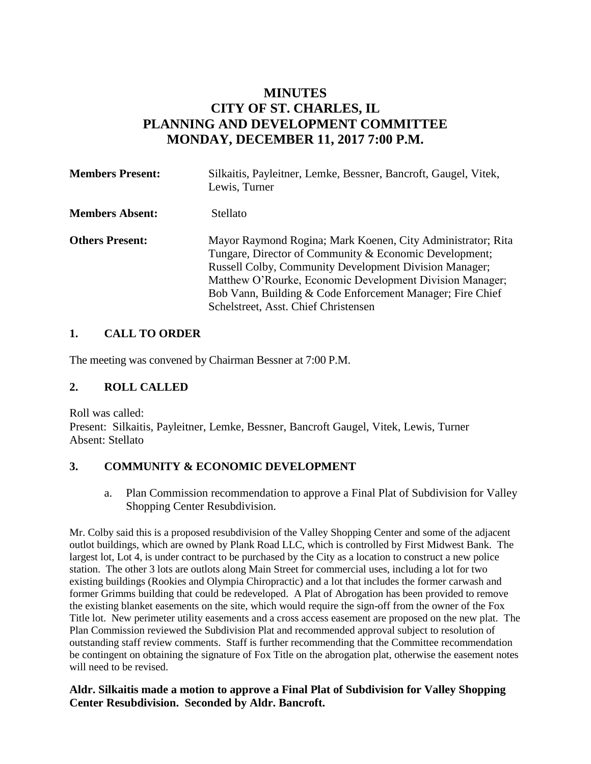# **MINUTES CITY OF ST. CHARLES, IL PLANNING AND DEVELOPMENT COMMITTEE MONDAY, DECEMBER 11, 2017 7:00 P.M.**

| <b>Members Present:</b> | Silkaitis, Payleitner, Lemke, Bessner, Bancroft, Gaugel, Vitek,<br>Lewis, Turner                                                                                                                                                                                                                                                                        |
|-------------------------|---------------------------------------------------------------------------------------------------------------------------------------------------------------------------------------------------------------------------------------------------------------------------------------------------------------------------------------------------------|
| <b>Members Absent:</b>  | Stellato                                                                                                                                                                                                                                                                                                                                                |
| <b>Others Present:</b>  | Mayor Raymond Rogina; Mark Koenen, City Administrator; Rita<br>Tungare, Director of Community & Economic Development;<br><b>Russell Colby, Community Development Division Manager;</b><br>Matthew O'Rourke, Economic Development Division Manager;<br>Bob Vann, Building & Code Enforcement Manager; Fire Chief<br>Schelstreet, Asst. Chief Christensen |

#### **1. CALL TO ORDER**

The meeting was convened by Chairman Bessner at 7:00 P.M.

#### **2. ROLL CALLED**

Roll was called: Present: Silkaitis, Payleitner, Lemke, Bessner, Bancroft Gaugel, Vitek, Lewis, Turner Absent: Stellato

#### **3. COMMUNITY & ECONOMIC DEVELOPMENT**

a. Plan Commission recommendation to approve a Final Plat of Subdivision for Valley Shopping Center Resubdivision.

Mr. Colby said this is a proposed resubdivision of the Valley Shopping Center and some of the adjacent outlot buildings, which are owned by Plank Road LLC, which is controlled by First Midwest Bank. The largest lot, Lot 4, is under contract to be purchased by the City as a location to construct a new police station. The other 3 lots are outlots along Main Street for commercial uses, including a lot for two existing buildings (Rookies and Olympia Chiropractic) and a lot that includes the former carwash and former Grimms building that could be redeveloped. A Plat of Abrogation has been provided to remove the existing blanket easements on the site, which would require the sign-off from the owner of the Fox Title lot. New perimeter utility easements and a cross access easement are proposed on the new plat. The Plan Commission reviewed the Subdivision Plat and recommended approval subject to resolution of outstanding staff review comments. Staff is further recommending that the Committee recommendation be contingent on obtaining the signature of Fox Title on the abrogation plat, otherwise the easement notes will need to be revised.

#### **Aldr. Silkaitis made a motion to approve a Final Plat of Subdivision for Valley Shopping Center Resubdivision. Seconded by Aldr. Bancroft.**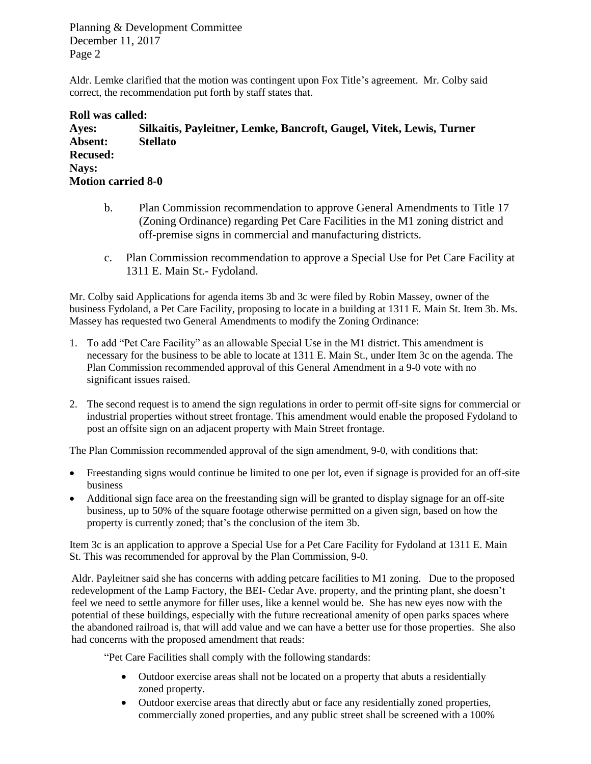Aldr. Lemke clarified that the motion was contingent upon Fox Title's agreement. Mr. Colby said correct, the recommendation put forth by staff states that.

#### **Roll was called:**

**Ayes: Silkaitis, Payleitner, Lemke, Bancroft, Gaugel, Vitek, Lewis, Turner Absent: Stellato Recused: Nays: Motion carried 8-0**

- b. Plan Commission recommendation to approve General Amendments to Title 17 (Zoning Ordinance) regarding Pet Care Facilities in the M1 zoning district and off-premise signs in commercial and manufacturing districts.
- c. Plan Commission recommendation to approve a Special Use for Pet Care Facility at 1311 E. Main St.- Fydoland.

Mr. Colby said Applications for agenda items 3b and 3c were filed by Robin Massey, owner of the business Fydoland, a Pet Care Facility, proposing to locate in a building at 1311 E. Main St. Item 3b. Ms. Massey has requested two General Amendments to modify the Zoning Ordinance:

- 1. To add "Pet Care Facility" as an allowable Special Use in the M1 district. This amendment is necessary for the business to be able to locate at 1311 E. Main St., under Item 3c on the agenda. The Plan Commission recommended approval of this General Amendment in a 9-0 vote with no significant issues raised.
- 2. The second request is to amend the sign regulations in order to permit off-site signs for commercial or industrial properties without street frontage. This amendment would enable the proposed Fydoland to post an offsite sign on an adjacent property with Main Street frontage.

The Plan Commission recommended approval of the sign amendment, 9-0, with conditions that:

- Freestanding signs would continue be limited to one per lot, even if signage is provided for an off-site business
- Additional sign face area on the freestanding sign will be granted to display signage for an off-site business, up to 50% of the square footage otherwise permitted on a given sign, based on how the property is currently zoned; that's the conclusion of the item 3b.

Item 3c is an application to approve a Special Use for a Pet Care Facility for Fydoland at 1311 E. Main St. This was recommended for approval by the Plan Commission, 9-0.

Aldr. Payleitner said she has concerns with adding petcare facilities to M1 zoning. Due to the proposed redevelopment of the Lamp Factory, the BEI- Cedar Ave. property, and the printing plant, she doesn't feel we need to settle anymore for filler uses, like a kennel would be. She has new eyes now with the potential of these buildings, especially with the future recreational amenity of open parks spaces where the abandoned railroad is, that will add value and we can have a better use for those properties. She also had concerns with the proposed amendment that reads:

"Pet Care Facilities shall comply with the following standards:

- Outdoor exercise areas shall not be located on a property that abuts a residentially zoned property.
- Outdoor exercise areas that directly abut or face any residentially zoned properties, commercially zoned properties, and any public street shall be screened with a 100%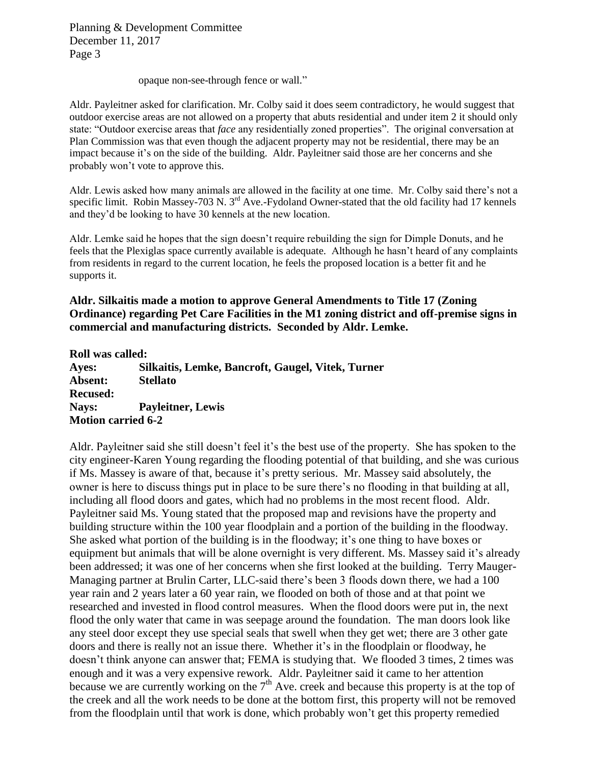opaque non-see-through fence or wall."

Aldr. Payleitner asked for clarification. Mr. Colby said it does seem contradictory, he would suggest that outdoor exercise areas are not allowed on a property that abuts residential and under item 2 it should only state: "Outdoor exercise areas that *face* any residentially zoned properties". The original conversation at Plan Commission was that even though the adjacent property may not be residential, there may be an impact because it's on the side of the building. Aldr. Payleitner said those are her concerns and she probably won't vote to approve this.

Aldr. Lewis asked how many animals are allowed in the facility at one time. Mr. Colby said there's not a specific limit. Robin Massey-703 N. 3<sup>rd</sup> Ave.-Fydoland Owner-stated that the old facility had 17 kennels and they'd be looking to have 30 kennels at the new location.

Aldr. Lemke said he hopes that the sign doesn't require rebuilding the sign for Dimple Donuts, and he feels that the Plexiglas space currently available is adequate. Although he hasn't heard of any complaints from residents in regard to the current location, he feels the proposed location is a better fit and he supports it.

### **Aldr. Silkaitis made a motion to approve General Amendments to Title 17 (Zoning Ordinance) regarding Pet Care Facilities in the M1 zoning district and off-premise signs in commercial and manufacturing districts. Seconded by Aldr. Lemke.**

#### **Roll was called:**

**Ayes: Silkaitis, Lemke, Bancroft, Gaugel, Vitek, Turner Absent: Stellato Recused: Nays: Payleitner, Lewis Motion carried 6-2**

Aldr. Payleitner said she still doesn't feel it's the best use of the property. She has spoken to the city engineer-Karen Young regarding the flooding potential of that building, and she was curious if Ms. Massey is aware of that, because it's pretty serious. Mr. Massey said absolutely, the owner is here to discuss things put in place to be sure there's no flooding in that building at all, including all flood doors and gates, which had no problems in the most recent flood. Aldr. Payleitner said Ms. Young stated that the proposed map and revisions have the property and building structure within the 100 year floodplain and a portion of the building in the floodway. She asked what portion of the building is in the floodway; it's one thing to have boxes or equipment but animals that will be alone overnight is very different. Ms. Massey said it's already been addressed; it was one of her concerns when she first looked at the building. Terry Mauger-Managing partner at Brulin Carter, LLC-said there's been 3 floods down there, we had a 100 year rain and 2 years later a 60 year rain, we flooded on both of those and at that point we researched and invested in flood control measures. When the flood doors were put in, the next flood the only water that came in was seepage around the foundation. The man doors look like any steel door except they use special seals that swell when they get wet; there are 3 other gate doors and there is really not an issue there. Whether it's in the floodplain or floodway, he doesn't think anyone can answer that; FEMA is studying that. We flooded 3 times, 2 times was enough and it was a very expensive rework. Aldr. Payleitner said it came to her attention because we are currently working on the  $7<sup>th</sup>$  Ave. creek and because this property is at the top of the creek and all the work needs to be done at the bottom first, this property will not be removed from the floodplain until that work is done, which probably won't get this property remedied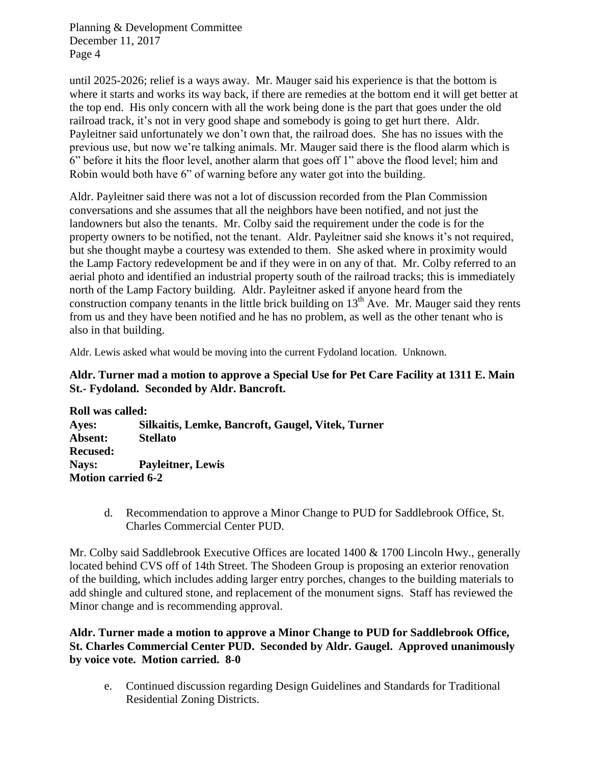until 2025-2026; relief is a ways away. Mr. Mauger said his experience is that the bottom is where it starts and works its way back, if there are remedies at the bottom end it will get better at the top end. His only concern with all the work being done is the part that goes under the old railroad track, it's not in very good shape and somebody is going to get hurt there. Aldr. Payleitner said unfortunately we don't own that, the railroad does. She has no issues with the previous use, but now we're talking animals. Mr. Mauger said there is the flood alarm which is 6" before it hits the floor level, another alarm that goes off 1" above the flood level; him and Robin would both have 6" of warning before any water got into the building.

Aldr. Payleitner said there was not a lot of discussion recorded from the Plan Commission conversations and she assumes that all the neighbors have been notified, and not just the landowners but also the tenants. Mr. Colby said the requirement under the code is for the property owners to be notified, not the tenant. Aldr. Payleitner said she knows it's not required, but she thought maybe a courtesy was extended to them. She asked where in proximity would the Lamp Factory redevelopment be and if they were in on any of that. Mr. Colby referred to an aerial photo and identified an industrial property south of the railroad tracks; this is immediately north of the Lamp Factory building. Aldr. Payleitner asked if anyone heard from the construction company tenants in the little brick building on  $13<sup>th</sup>$  Ave. Mr. Mauger said they rents from us and they have been notified and he has no problem, as well as the other tenant who is also in that building.

Aldr. Lewis asked what would be moving into the current Fydoland location. Unknown.

### **Aldr. Turner mad a motion to approve a Special Use for Pet Care Facility at 1311 E. Main St.- Fydoland. Seconded by Aldr. Bancroft.**

**Roll was called: Ayes: Silkaitis, Lemke, Bancroft, Gaugel, Vitek, Turner Absent: Stellato Recused: Nays: Payleitner, Lewis Motion carried 6-2**

> d. Recommendation to approve a Minor Change to PUD for Saddlebrook Office, St. Charles Commercial Center PUD.

Mr. Colby said Saddlebrook Executive Offices are located 1400 & 1700 Lincoln Hwy., generally located behind CVS off of 14th Street. The Shodeen Group is proposing an exterior renovation of the building, which includes adding larger entry porches, changes to the building materials to add shingle and cultured stone, and replacement of the monument signs. Staff has reviewed the Minor change and is recommending approval.

### **Aldr. Turner made a motion to approve a Minor Change to PUD for Saddlebrook Office, St. Charles Commercial Center PUD. Seconded by Aldr. Gaugel. Approved unanimously by voice vote. Motion carried. 8-0**

e. Continued discussion regarding Design Guidelines and Standards for Traditional Residential Zoning Districts.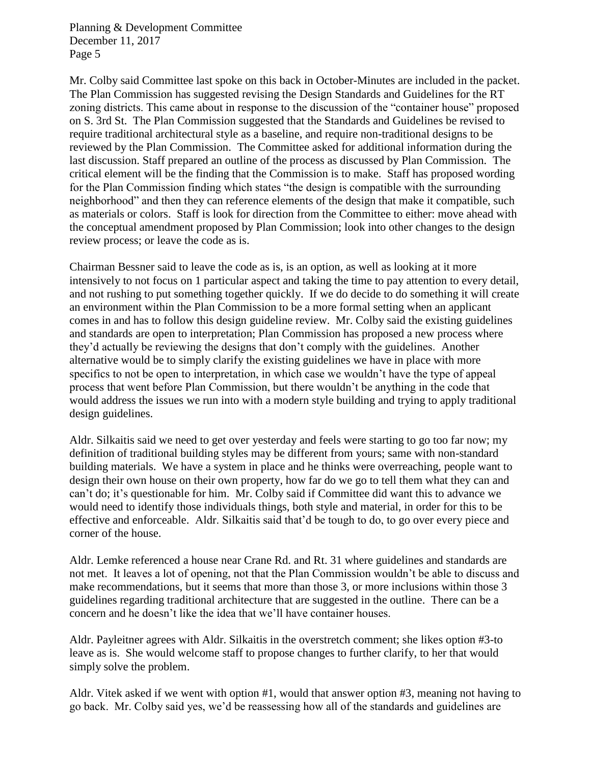Mr. Colby said Committee last spoke on this back in October-Minutes are included in the packet. The Plan Commission has suggested revising the Design Standards and Guidelines for the RT zoning districts. This came about in response to the discussion of the "container house" proposed on S. 3rd St. The Plan Commission suggested that the Standards and Guidelines be revised to require traditional architectural style as a baseline, and require non-traditional designs to be reviewed by the Plan Commission. The Committee asked for additional information during the last discussion. Staff prepared an outline of the process as discussed by Plan Commission. The critical element will be the finding that the Commission is to make. Staff has proposed wording for the Plan Commission finding which states "the design is compatible with the surrounding neighborhood" and then they can reference elements of the design that make it compatible, such as materials or colors. Staff is look for direction from the Committee to either: move ahead with the conceptual amendment proposed by Plan Commission; look into other changes to the design review process; or leave the code as is.

Chairman Bessner said to leave the code as is, is an option, as well as looking at it more intensively to not focus on 1 particular aspect and taking the time to pay attention to every detail, and not rushing to put something together quickly. If we do decide to do something it will create an environment within the Plan Commission to be a more formal setting when an applicant comes in and has to follow this design guideline review. Mr. Colby said the existing guidelines and standards are open to interpretation; Plan Commission has proposed a new process where they'd actually be reviewing the designs that don't comply with the guidelines. Another alternative would be to simply clarify the existing guidelines we have in place with more specifics to not be open to interpretation, in which case we wouldn't have the type of appeal process that went before Plan Commission, but there wouldn't be anything in the code that would address the issues we run into with a modern style building and trying to apply traditional design guidelines.

Aldr. Silkaitis said we need to get over yesterday and feels were starting to go too far now; my definition of traditional building styles may be different from yours; same with non-standard building materials. We have a system in place and he thinks were overreaching, people want to design their own house on their own property, how far do we go to tell them what they can and can't do; it's questionable for him. Mr. Colby said if Committee did want this to advance we would need to identify those individuals things, both style and material, in order for this to be effective and enforceable. Aldr. Silkaitis said that'd be tough to do, to go over every piece and corner of the house.

Aldr. Lemke referenced a house near Crane Rd. and Rt. 31 where guidelines and standards are not met. It leaves a lot of opening, not that the Plan Commission wouldn't be able to discuss and make recommendations, but it seems that more than those 3, or more inclusions within those 3 guidelines regarding traditional architecture that are suggested in the outline. There can be a concern and he doesn't like the idea that we'll have container houses.

Aldr. Payleitner agrees with Aldr. Silkaitis in the overstretch comment; she likes option #3-to leave as is. She would welcome staff to propose changes to further clarify, to her that would simply solve the problem.

Aldr. Vitek asked if we went with option #1, would that answer option #3, meaning not having to go back. Mr. Colby said yes, we'd be reassessing how all of the standards and guidelines are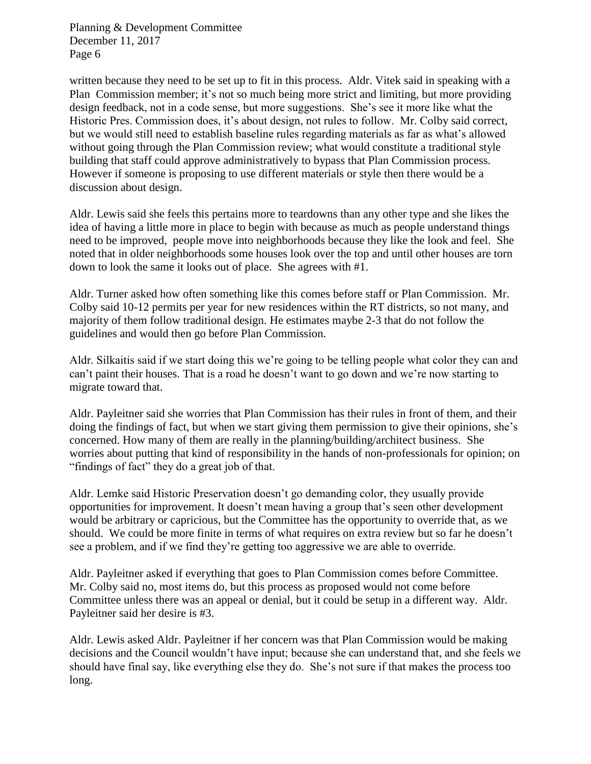written because they need to be set up to fit in this process. Aldr. Vitek said in speaking with a Plan Commission member; it's not so much being more strict and limiting, but more providing design feedback, not in a code sense, but more suggestions. She's see it more like what the Historic Pres. Commission does, it's about design, not rules to follow. Mr. Colby said correct, but we would still need to establish baseline rules regarding materials as far as what's allowed without going through the Plan Commission review; what would constitute a traditional style building that staff could approve administratively to bypass that Plan Commission process. However if someone is proposing to use different materials or style then there would be a discussion about design.

Aldr. Lewis said she feels this pertains more to teardowns than any other type and she likes the idea of having a little more in place to begin with because as much as people understand things need to be improved, people move into neighborhoods because they like the look and feel. She noted that in older neighborhoods some houses look over the top and until other houses are torn down to look the same it looks out of place. She agrees with #1.

Aldr. Turner asked how often something like this comes before staff or Plan Commission. Mr. Colby said 10-12 permits per year for new residences within the RT districts, so not many, and majority of them follow traditional design. He estimates maybe 2-3 that do not follow the guidelines and would then go before Plan Commission.

Aldr. Silkaitis said if we start doing this we're going to be telling people what color they can and can't paint their houses. That is a road he doesn't want to go down and we're now starting to migrate toward that.

Aldr. Payleitner said she worries that Plan Commission has their rules in front of them, and their doing the findings of fact, but when we start giving them permission to give their opinions, she's concerned. How many of them are really in the planning/building/architect business. She worries about putting that kind of responsibility in the hands of non-professionals for opinion; on "findings of fact" they do a great job of that.

Aldr. Lemke said Historic Preservation doesn't go demanding color, they usually provide opportunities for improvement. It doesn't mean having a group that's seen other development would be arbitrary or capricious, but the Committee has the opportunity to override that, as we should. We could be more finite in terms of what requires on extra review but so far he doesn't see a problem, and if we find they're getting too aggressive we are able to override.

Aldr. Payleitner asked if everything that goes to Plan Commission comes before Committee. Mr. Colby said no, most items do, but this process as proposed would not come before Committee unless there was an appeal or denial, but it could be setup in a different way. Aldr. Payleitner said her desire is #3.

Aldr. Lewis asked Aldr. Payleitner if her concern was that Plan Commission would be making decisions and the Council wouldn't have input; because she can understand that, and she feels we should have final say, like everything else they do. She's not sure if that makes the process too long.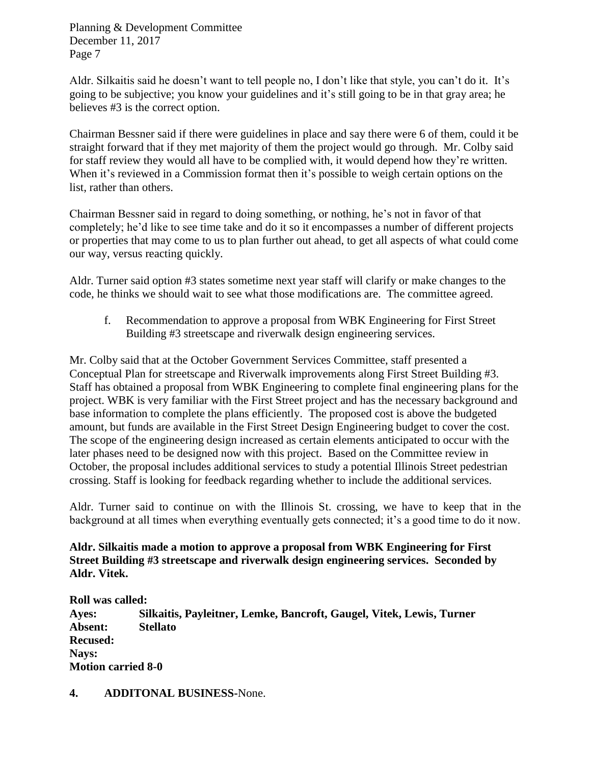Aldr. Silkaitis said he doesn't want to tell people no, I don't like that style, you can't do it. It's going to be subjective; you know your guidelines and it's still going to be in that gray area; he believes #3 is the correct option.

Chairman Bessner said if there were guidelines in place and say there were 6 of them, could it be straight forward that if they met majority of them the project would go through. Mr. Colby said for staff review they would all have to be complied with, it would depend how they're written. When it's reviewed in a Commission format then it's possible to weigh certain options on the list, rather than others.

Chairman Bessner said in regard to doing something, or nothing, he's not in favor of that completely; he'd like to see time take and do it so it encompasses a number of different projects or properties that may come to us to plan further out ahead, to get all aspects of what could come our way, versus reacting quickly.

Aldr. Turner said option #3 states sometime next year staff will clarify or make changes to the code, he thinks we should wait to see what those modifications are. The committee agreed.

f. Recommendation to approve a proposal from WBK Engineering for First Street Building #3 streetscape and riverwalk design engineering services.

Mr. Colby said that at the October Government Services Committee, staff presented a Conceptual Plan for streetscape and Riverwalk improvements along First Street Building #3. Staff has obtained a proposal from WBK Engineering to complete final engineering plans for the project. WBK is very familiar with the First Street project and has the necessary background and base information to complete the plans efficiently. The proposed cost is above the budgeted amount, but funds are available in the First Street Design Engineering budget to cover the cost. The scope of the engineering design increased as certain elements anticipated to occur with the later phases need to be designed now with this project. Based on the Committee review in October, the proposal includes additional services to study a potential Illinois Street pedestrian crossing. Staff is looking for feedback regarding whether to include the additional services.

Aldr. Turner said to continue on with the Illinois St. crossing, we have to keep that in the background at all times when everything eventually gets connected; it's a good time to do it now.

**Aldr. Silkaitis made a motion to approve a proposal from WBK Engineering for First Street Building #3 streetscape and riverwalk design engineering services. Seconded by Aldr. Vitek.** 

**Roll was called: Ayes: Silkaitis, Payleitner, Lemke, Bancroft, Gaugel, Vitek, Lewis, Turner Absent: Stellato Recused: Nays: Motion carried 8-0**

**4. ADDITONAL BUSINESS-**None.